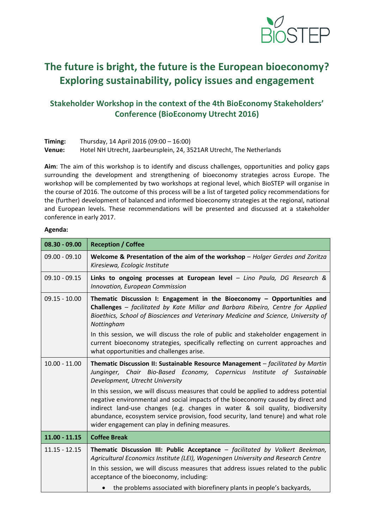

## **The future is bright, the future is the European bioeconomy? Exploring sustainability, policy issues and engagement**

## **Stakeholder Workshop in the context of the 4th BioEconomy Stakeholders' Conference (BioEconomy Utrecht 2016)**

| Timing: | Thursday, 14 April 2016 (09:00 – 16:00)                               |
|---------|-----------------------------------------------------------------------|
| Venue:  | Hotel NH Utrecht, Jaarbeursplein, 24, 3521AR Utrecht, The Netherlands |

**Aim**: The aim of this workshop is to identify and discuss challenges, opportunities and policy gaps surrounding the development and strengthening of bioeconomy strategies across Europe. The workshop will be complemented by two workshops at regional level, which BioSTEP will organise in the course of 2016. The outcome of this process will be a list of targeted policy recommendations for the (further) development of balanced and informed bioeconomy strategies at the regional, national and European levels. These recommendations will be presented and discussed at a stakeholder conference in early 2017.

## **Agenda:**

| $08.30 - 09.00$ | <b>Reception / Coffee</b>                                                                                                                                                                                                                                                                                                                                                                         |
|-----------------|---------------------------------------------------------------------------------------------------------------------------------------------------------------------------------------------------------------------------------------------------------------------------------------------------------------------------------------------------------------------------------------------------|
| $09.00 - 09.10$ | Welcome & Presentation of the aim of the workshop - Holger Gerdes and Zoritza<br>Kiresiewa, Ecologic Institute                                                                                                                                                                                                                                                                                    |
| $09.10 - 09.15$ | Links to ongoing processes at European level $-$ Lino Paula, DG Research &<br>Innovation, European Commission                                                                                                                                                                                                                                                                                     |
| $09.15 - 10.00$ | Thematic Discussion I: Engagement in the Bioeconomy - Opportunities and<br>Challenges - facilitated by Kate Millar and Barbara Ribeiro, Centre for Applied<br>Bioethics, School of Biosciences and Veterinary Medicine and Science, University of<br>Nottingham                                                                                                                                   |
|                 | In this session, we will discuss the role of public and stakeholder engagement in<br>current bioeconomy strategies, specifically reflecting on current approaches and<br>what opportunities and challenges arise.                                                                                                                                                                                 |
| $10.00 - 11.00$ | Thematic Discussion II: Sustainable Resource Management - facilitated by Martin<br>Junginger, Chair Bio-Based Economy, Copernicus Institute of Sustainable<br>Development, Utrecht University                                                                                                                                                                                                     |
|                 | In this session, we will discuss measures that could be applied to address potential<br>negative environmental and social impacts of the bioeconomy caused by direct and<br>indirect land-use changes (e.g. changes in water & soil quality, biodiversity<br>abundance, ecosystem service provision, food security, land tenure) and what role<br>wider engagement can play in defining measures. |
| $11.00 - 11.15$ | <b>Coffee Break</b>                                                                                                                                                                                                                                                                                                                                                                               |
| $11.15 - 12.15$ | Thematic Discussion III: Public Acceptance - facilitated by Volkert Beekman,<br>Agricultural Economics Institute (LEI), Wageningen University and Research Centre                                                                                                                                                                                                                                 |
|                 | In this session, we will discuss measures that address issues related to the public<br>acceptance of the bioeconomy, including:                                                                                                                                                                                                                                                                   |
|                 | the problems associated with biorefinery plants in people's backyards,                                                                                                                                                                                                                                                                                                                            |